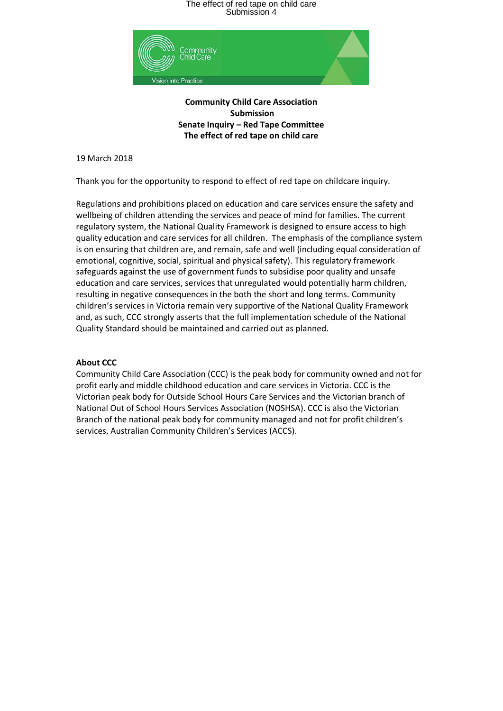

**Community Child Care Association Submission Senate Inquiry – Red Tape Committee The effect of red tape on child care**

19 March 2018

Thank you for the opportunity to respond to effect of red tape on childcare inquiry.

Regulations and prohibitions placed on education and care services ensure the safety and wellbeing of children attending the services and peace of mind for families. The current regulatory system, the National Quality Framework is designed to ensure access to high quality education and care services for all children. The emphasis of the compliance system is on ensuring that children are, and remain, safe and well (including equal consideration of emotional, cognitive, social, spiritual and physical safety). This regulatory framework safeguards against the use of government funds to subsidise poor quality and unsafe education and care services, services that unregulated would potentially harm children, resulting in negative consequences in the both the short and long terms. Community children's services in Victoria remain very supportive of the National Quality Framework and, as such, CCC strongly asserts that the full implementation schedule of the National Quality Standard should be maintained and carried out as planned.

#### **About CCC**

Community Child Care Association (CCC) is the peak body for community owned and not for profit early and middle childhood education and care services in Victoria. CCC is the Victorian peak body for Outside School Hours Care Services and the Victorian branch of National Out of School Hours Services Association (NOSHSA). CCC is also the Victorian Branch of the national peak body for community managed and not for profit children's services, Australian Community Children's Services (ACCS).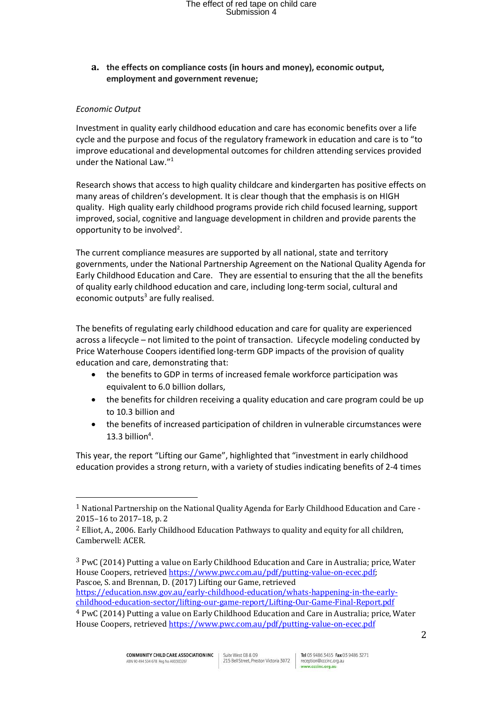**a. the effects on compliance costs (in hours and money), economic output, employment and government revenue;**

### *Economic Output*

 $\overline{a}$ 

Investment in quality early childhood education and care has economic benefits over a life cycle and the purpose and focus of the regulatory framework in education and care is to "to improve educational and developmental outcomes for children attending services provided under the National Law."<sup>1</sup>

Research shows that access to high quality childcare and kindergarten has positive effects on many areas of children's development. It is clear though that the emphasis is on HIGH quality. High quality early childhood programs provide rich child focused learning, support improved, social, cognitive and language development in children and provide parents the opportunity to be involved<sup>2</sup>.

The current compliance measures are supported by all national, state and territory governments, under the National Partnership Agreement on the National Quality Agenda for Early Childhood Education and Care. They are essential to ensuring that the all the benefits of quality early childhood education and care, including long-term social, cultural and economic outputs<sup>3</sup> are fully realised.

The benefits of regulating early childhood education and care for quality are experienced across a lifecycle – not limited to the point of transaction. Lifecycle modeling conducted by Price Waterhouse Coopers identified long-term GDP impacts of the provision of quality education and care, demonstrating that:

- the benefits to GDP in terms of increased female workforce participation was equivalent to 6.0 billion dollars,
- the benefits for children receiving a quality education and care program could be up to 10.3 billion and
- the benefits of increased participation of children in vulnerable circumstances were 13.3 billion $4$ .

This year, the report "Lifting our Game", highlighted that "investment in early childhood education provides a strong return, with a variety of studies indicating benefits of 2-4 times

<sup>1</sup> National Partnership on the National Quality Agenda for Early Childhood Education and Care - 2015–16 to 2017–18, p. 2

<sup>2</sup> Elliot, A., 2006. Early Childhood Education Pathways to quality and equity for all children, Camberwell: ACER.

<sup>3</sup> PwC (2014) Putting a value on Early Childhood Education and Care in Australia; price, Water House Coopers, retrieved [https://www.pwc.com.au/pdf/putting-value-on-ecec.pdf;](https://www.pwc.com.au/pdf/putting-value-on-ecec.pdf) Pascoe, S. and Brennan, D. (2017) Lifting our Game, retrieved

[https://education.nsw.gov.au/early-childhood-education/whats-happening-in-the-early](https://education.nsw.gov.au/early-childhood-education/whats-happening-in-the-early-childhood-education-sector/lifting-our-game-report/Lifting-Our-Game-Final-Report.pdf)[childhood-education-sector/lifting-our-game-report/Lifting-Our-Game-Final-Report.pdf](https://education.nsw.gov.au/early-childhood-education/whats-happening-in-the-early-childhood-education-sector/lifting-our-game-report/Lifting-Our-Game-Final-Report.pdf)

<sup>4</sup> PwC (2014) Putting a value on Early Childhood Education and Care in Australia; price, Water House Coopers, retrieved<https://www.pwc.com.au/pdf/putting-value-on-ecec.pdf>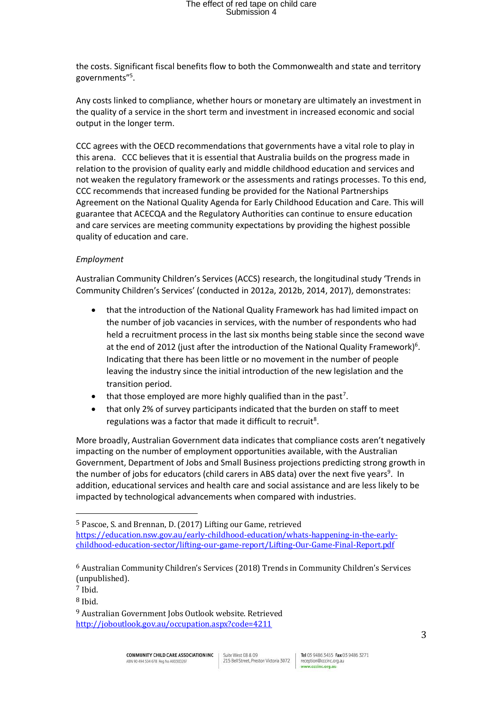the costs. Significant fiscal benefits flow to both the Commonwealth and state and territory governments"<sup>5</sup> .

Any costs linked to compliance, whether hours or monetary are ultimately an investment in the quality of a service in the short term and investment in increased economic and social output in the longer term.

CCC agrees with the OECD recommendations that governments have a vital role to play in this arena. CCC believes that it is essential that Australia builds on the progress made in relation to the provision of quality early and middle childhood education and services and not weaken the regulatory framework or the assessments and ratings processes. To this end, CCC recommends that increased funding be provided for the National Partnerships Agreement on the National Quality Agenda for Early Childhood Education and Care. This will guarantee that ACECQA and the Regulatory Authorities can continue to ensure education and care services are meeting community expectations by providing the highest possible quality of education and care.

### *Employment*

Australian Community Children's Services (ACCS) research, the longitudinal study 'Trends in Community Children's Services' (conducted in 2012a, 2012b, 2014, 2017), demonstrates:

- that the introduction of the National Quality Framework has had limited impact on the number of job vacancies in services, with the number of respondents who had held a recruitment process in the last six months being stable since the second wave at the end of 2012 (just after the introduction of the National Quality Framework)<sup>6</sup>. Indicating that there has been little or no movement in the number of people leaving the industry since the initial introduction of the new legislation and the transition period.
- $\bullet$  that those employed are more highly qualified than in the past<sup>7</sup>.
- that only 2% of survey participants indicated that the burden on staff to meet regulations was a factor that made it difficult to recruit<sup>8</sup>.

More broadly, Australian Government data indicates that compliance costs aren't negatively impacting on the number of employment opportunities available, with the Australian Government, Department of Jobs and Small Business projections predicting strong growth in the number of jobs for educators (child carers in ABS data) over the next five years<sup>9</sup>. In addition, educational services and health care and social assistance and are less likely to be impacted by technological advancements when compared with industries.

<sup>5</sup> Pascoe, S. and Brennan, D. (2017) Lifting our Game, retrieved [https://education.nsw.gov.au/early-childhood-education/whats-happening-in-the-early](https://education.nsw.gov.au/early-childhood-education/whats-happening-in-the-early-childhood-education-sector/lifting-our-game-report/Lifting-Our-Game-Final-Report.pdf)[childhood-education-sector/lifting-our-game-report/Lifting-Our-Game-Final-Report.pdf](https://education.nsw.gov.au/early-childhood-education/whats-happening-in-the-early-childhood-education-sector/lifting-our-game-report/Lifting-Our-Game-Final-Report.pdf)

l

<sup>6</sup> Australian Community Children's Services (2018) Trends in Community Children's Services (unpublished).

<sup>7</sup> Ibid.

<sup>8</sup> Ibid.

<sup>9</sup> Australian Government Jobs Outlook website. Retrieved <http://joboutlook.gov.au/occupation.aspx?code=4211>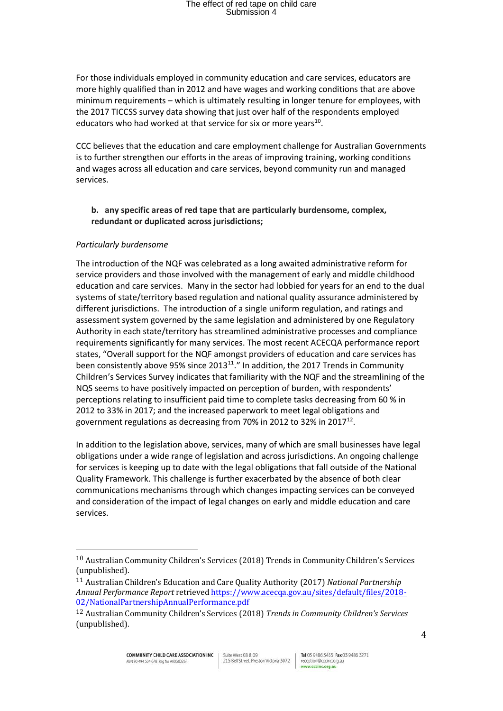For those individuals employed in community education and care services, educators are more highly qualified than in 2012 and have wages and working conditions that are above minimum requirements – which is ultimately resulting in longer tenure for employees, with the 2017 TICCSS survey data showing that just over half of the respondents employed educators who had worked at that service for six or more years<sup>10</sup>.

CCC believes that the education and care employment challenge for Australian Governments is to further strengthen our efforts in the areas of improving training, working conditions and wages across all education and care services, beyond community run and managed services.

### **b. any specific areas of red tape that are particularly burdensome, complex, redundant or duplicated across jurisdictions;**

#### *Particularly burdensome*

 $\overline{a}$ 

The introduction of the NQF was celebrated as a long awaited administrative reform for service providers and those involved with the management of early and middle childhood education and care services. Many in the sector had lobbied for years for an end to the dual systems of state/territory based regulation and national quality assurance administered by different jurisdictions. The introduction of a single uniform regulation, and ratings and assessment system governed by the same legislation and administered by one Regulatory Authority in each state/territory has streamlined administrative processes and compliance requirements significantly for many services. The most recent ACECQA performance report states, "Overall support for the NQF amongst providers of education and care services has been consistently above 95% since  $2013^{11}$ ." In addition, the 2017 Trends in Community Children's Services Survey indicates that familiarity with the NQF and the streamlining of the NQS seems to have positively impacted on perception of burden, with respondents' perceptions relating to insufficient paid time to complete tasks decreasing from 60 % in 2012 to 33% in 2017; and the increased paperwork to meet legal obligations and government regulations as decreasing from 70% in 2012 to 32% in 2017 $^{12}$ .

In addition to the legislation above, services, many of which are small businesses have legal obligations under a wide range of legislation and across jurisdictions. An ongoing challenge for services is keeping up to date with the legal obligations that fall outside of the National Quality Framework. This challenge is further exacerbated by the absence of both clear communications mechanisms through which changes impacting services can be conveyed and consideration of the impact of legal changes on early and middle education and care services.

<sup>10</sup> Australian Community Children's Services (2018) Trends in Community Children's Services (unpublished).

<sup>11</sup> Australian Children's Education and Care Quality Authority (2017) *National Partnership Annual Performance Report* retrieve[d https://www.acecqa.gov.au/sites/default/files/2018-](https://www.acecqa.gov.au/sites/default/files/2018-02/NationalPartnershipAnnualPerformance.pdf) [02/NationalPartnershipAnnualPerformance.pdf](https://www.acecqa.gov.au/sites/default/files/2018-02/NationalPartnershipAnnualPerformance.pdf)

<sup>12</sup> Australian Community Children's Services (2018) *Trends in Community Children's Services*  (unpublished).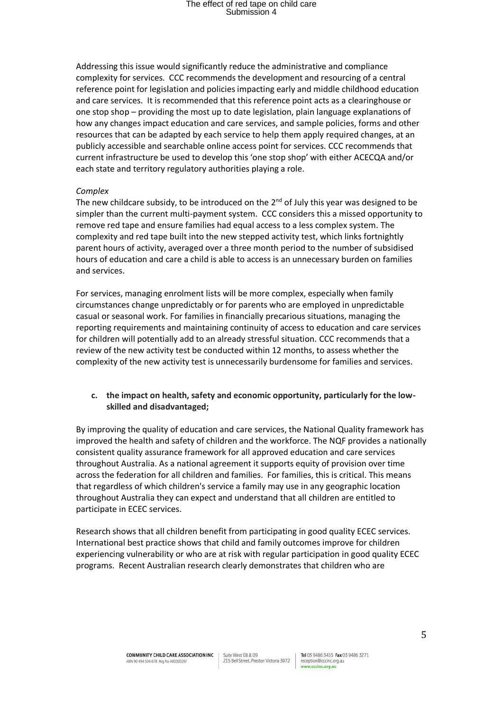Addressing this issue would significantly reduce the administrative and compliance complexity for services. CCC recommends the development and resourcing of a central reference point for legislation and policies impacting early and middle childhood education and care services. It is recommended that this reference point acts as a clearinghouse or one stop shop – providing the most up to date legislation, plain language explanations of how any changes impact education and care services, and sample policies, forms and other resources that can be adapted by each service to help them apply required changes, at an publicly accessible and searchable online access point for services. CCC recommends that current infrastructure be used to develop this 'one stop shop' with either ACECQA and/or each state and territory regulatory authorities playing a role.

#### *Complex*

The new childcare subsidy, to be introduced on the  $2^{nd}$  of July this year was designed to be simpler than the current multi-payment system. CCC considers this a missed opportunity to remove red tape and ensure families had equal access to a less complex system. The complexity and red tape built into the new stepped activity test, which links fortnightly parent hours of activity, averaged over a three month period to the number of subsidised hours of education and care a child is able to access is an unnecessary burden on families and services.

For services, managing enrolment lists will be more complex, especially when family circumstances change unpredictably or for parents who are employed in unpredictable casual or seasonal work. For families in financially precarious situations, managing the reporting requirements and maintaining continuity of access to education and care services for children will potentially add to an already stressful situation. CCC recommends that a review of the new activity test be conducted within 12 months, to assess whether the complexity of the new activity test is unnecessarily burdensome for families and services.

#### **c. the impact on health, safety and economic opportunity, particularly for the lowskilled and disadvantaged;**

By improving the quality of education and care services, the National Quality framework has improved the health and safety of children and the workforce. The NQF provides a nationally consistent quality assurance framework for all approved education and care services throughout Australia. As a national agreement it supports equity of provision over time across the federation for all children and families. For families, this is critical. This means that regardless of which children's service a family may use in any geographic location throughout Australia they can expect and understand that all children are entitled to participate in ECEC services.

Research shows that all children benefit from participating in good quality ECEC services. International best practice shows that child and family outcomes improve for children experiencing vulnerability or who are at risk with regular participation in good quality ECEC programs. Recent Australian research clearly demonstrates that children who are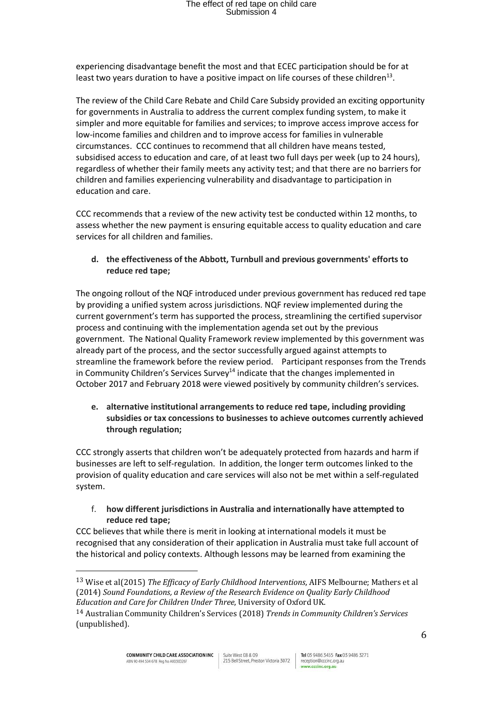experiencing disadvantage benefit the most and that ECEC participation should be for at least two years duration to have a positive impact on life courses of these children<sup>13</sup>.

The review of the Child Care Rebate and Child Care Subsidy provided an exciting opportunity for governments in Australia to address the current complex funding system, to make it simpler and more equitable for families and services; to improve access improve access for low-income families and children and to improve access for families in vulnerable circumstances. CCC continues to recommend that all children have means tested, subsidised access to education and care, of at least two full days per week (up to 24 hours), regardless of whether their family meets any activity test; and that there are no barriers for children and families experiencing vulnerability and disadvantage to participation in education and care.

CCC recommends that a review of the new activity test be conducted within 12 months, to assess whether the new payment is ensuring equitable access to quality education and care services for all children and families.

### **d. the effectiveness of the Abbott, Turnbull and previous governments' efforts to reduce red tape;**

The ongoing rollout of the NQF introduced under previous government has reduced red tape by providing a unified system across jurisdictions. NQF review implemented during the current government's term has supported the process, streamlining the certified supervisor process and continuing with the implementation agenda set out by the previous government. The National Quality Framework review implemented by this government was already part of the process, and the sector successfully argued against attempts to streamline the framework before the review period. Participant responses from the Trends in Community Children's Services Survey<sup>14</sup> indicate that the changes implemented in October 2017 and February 2018 were viewed positively by community children's services.

**e. alternative institutional arrangements to reduce red tape, including providing subsidies or tax concessions to businesses to achieve outcomes currently achieved through regulation;**

CCC strongly asserts that children won't be adequately protected from hazards and harm if businesses are left to self-regulation. In addition, the longer term outcomes linked to the provision of quality education and care services will also not be met within a self-regulated system.

f. **how different jurisdictions in Australia and internationally have attempted to reduce red tape;**

CCC believes that while there is merit in looking at international models it must be recognised that any consideration of their application in Australia must take full account of the historical and policy contexts. Although lessons may be learned from examining the

l

<sup>13</sup> Wise et al(2015) *The Efficacy of Early Childhood Interventions*, AIFS Melbourne; Mathers et al (2014) *Sound Foundations, a Review of the Research Evidence on Quality Early Childhood Education and Care for Children Under Three*, University of Oxford UK.

<sup>14</sup> Australian Community Children's Services (2018) *Trends in Community Children's Services*  (unpublished).